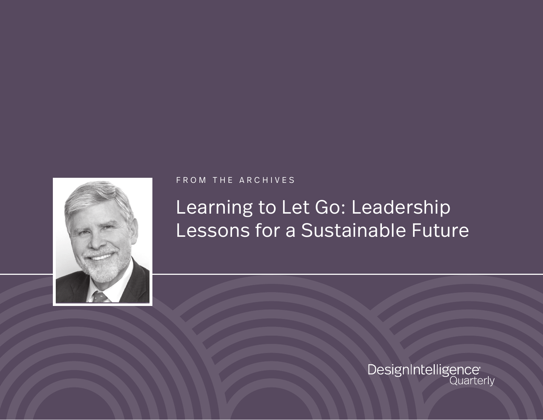

FROM THE ARCHIVES

## Learning to Let Go: Leadership Lessons for a Sustainable Future

DesignIntelligence<br>Quarterly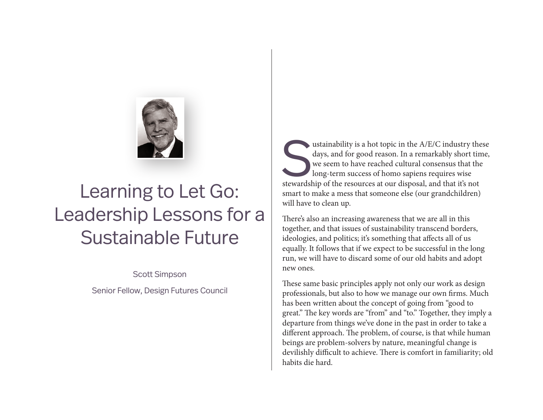

## Learning to Let Go: Leadership Lessons for a Sustainable Future

Scott Simpson

Senior Fellow, Design Futures Council

sustainability is a hot topic in the A/E/C industry these days, and for good reason. In a remarkably short time, we seem to have reached cultural consensus that the long-term success of homo sapiens requires wise stewardsh days, and for good reason. In a remarkably short time, we seem to have reached cultural consensus that the long-term success of homo sapiens requires wise smart to make a mess that someone else (our grandchildren) will have to clean up.

There's also an increasing awareness that we are all in this together, and that issues of sustainability transcend borders, ideologies, and politics; it's something that affects all of us equally. It follows that if we expect to be successful in the long run, we will have to discard some of our old habits and adopt new ones.

These same basic principles apply not only our work as design professionals, but also to how we manage our own firms. Much has been written about the concept of going from "good to great." The key words are "from" and "to." Together, they imply a departure from things we've done in the past in order to take a different approach. The problem, of course, is that while human beings are problem-solvers by nature, meaningful change is devilishly difficult to achieve. There is comfort in familiarity; old habits die hard.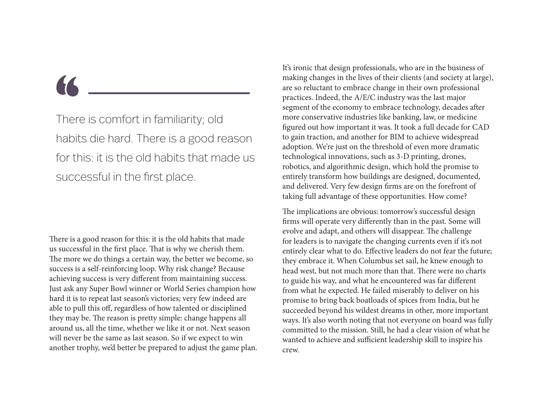There is comfort in familiarity; old habits die hard. There is a good reason for this: it is the old habits that made us successful in the first place.

There is a good reason for this: it is the old habits that made us successful in the first place. That is why we cherish them. The more we do things a certain way, the better we become, so success is a self-reinforcing loop. Why risk change? Because achieving success is very different from maintaining success. Just ask any Super Bowl winner or World Series champion how hard it is to repeat last season's victories; very few indeed are able to pull this off, regardless of how talented or disciplined they may be. The reason is pretty simple: change happens all around us, all the time, whether we like it or not. Next season will never be the same as last season. So if we expect to win another trophy, we'd better be prepared to adjust the game plan. It's ironic that design professionals, who are in the business of making changes in the lives of their clients (and society at large), are so reluctant to embrace change in their own professional practices. Indeed, the A/E/C industry was the last major segment of the economy to embrace technology, decades after more conservative industries like banking, law, or medicine figured out how important it was. It took a full decade for CAD to gain traction, and another for BIM to achieve widespread adoption. We're just on the threshold of even more dramatic technological innovations, such as 3-D printing, drones, robotics, and algorithmic design, which hold the promise to entirely transform how buildings are designed, documented, and delivered. Very few design firms are on the forefront of taking full advantage of these opportunities. How come?

The implications are obvious: tomorrow's successful design firms will operate very differently than in the past. Some will evolve and adapt, and others will disappear. The challenge for leaders is to navigate the changing currents even if it's not entirely clear what to do. Effective leaders do not fear the future; they embrace it. When Columbus set sail, he knew enough to head west, but not much more than that. There were no charts to guide his way, and what he encountered was far different from what he expected. He failed miserably to deliver on his promise to bring back boatloads of spices from India, but he succeeded beyond his wildest dreams in other, more important ways. It's also worth noting that not everyone on board was fully committed to the mission. Still, he had a clear vision of what he wanted to achieve and sufficient leadership skill to inspire his crew.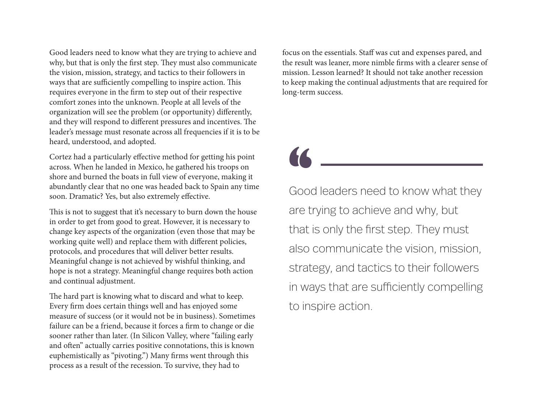Good leaders need to know what they are trying to achieve and why, but that is only the first step. They must also communicate the vision, mission, strategy, and tactics to their followers in ways that are sufficiently compelling to inspire action. This requires everyone in the firm to step out of their respective comfort zones into the unknown. People at all levels of the organization will see the problem (or opportunity) differently, and they will respond to different pressures and incentives. The leader's message must resonate across all frequencies if it is to be heard, understood, and adopted.

Cortez had a particularly effective method for getting his point across. When he landed in Mexico, he gathered his troops on shore and burned the boats in full view of everyone, making it abundantly clear that no one was headed back to Spain any time soon. Dramatic? Yes, but also extremely effective.

This is not to suggest that it's necessary to burn down the house in order to get from good to great. However, it is necessary to change key aspects of the organization (even those that may be working quite well) and replace them with different policies, protocols, and procedures that will deliver better results. Meaningful change is not achieved by wishful thinking, and hope is not a strategy. Meaningful change requires both action and continual adjustment.

The hard part is knowing what to discard and what to keep. Every firm does certain things well and has enjoyed some measure of success (or it would not be in business). Sometimes failure can be a friend, because it forces a firm to change or die sooner rather than later. (In Silicon Valley, where "failing early and often" actually carries positive connotations, this is known euphemistically as "pivoting.") Many firms went through this process as a result of the recession. To survive, they had to

focus on the essentials. Staff was cut and expenses pared, and the result was leaner, more nimble firms with a clearer sense of mission. Lesson learned? It should not take another recession to keep making the continual adjustments that are required for long-term success.

Good leaders need to know what they are trying to achieve and why, but that is only the first step. They must also communicate the vision, mission, strategy, and tactics to their followers in ways that are sufficiently compelling to inspire action.